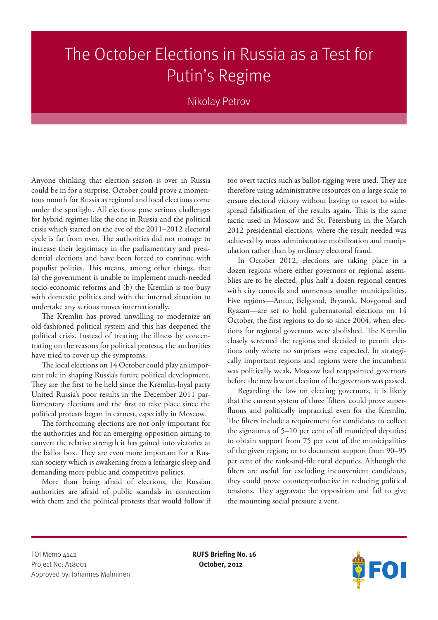## The October Elections in Russia as a Test for Putin's Regime

## Nikolay Petrov

Anyone thinking that election season is over in Russia could be in for a surprise. October could prove a momentous month for Russia as regional and local elections come under the spotlight. All elections pose serious challenges for hybrid regimes like the one in Russia and the political crisis which started on the eve of the 2011–2012 electoral cycle is far from over. The authorities did not manage to increase their legitimacy in the parliamentary and presidential elections and have been forced to continue with populist politics. This means, among other things, that (a) the government is unable to implement much-needed socio-economic reforms and (b) the Kremlin is too busy with domestic politics and with the internal situation to undertake any serious moves internationally.

The Kremlin has proved unwilling to modernize an old-fashioned political system and this has deepened the political crisis. Instead of treating the illness by concentrating on the reasons for political protests, the authorities have tried to cover up the symptoms.

The local elections on 14 October could play an important role in shaping Russia's future political development. They are the first to be held since the Kremlin-loyal party United Russia's poor results in the December 2011 parliamentary elections and the first to take place since the political protests began in earnest, especially in Moscow.

The forthcoming elections are not only important for the authorities and for an emerging opposition aiming to convert the relative strength it has gained into victories at the ballot box. They are even more important for a Russian society which is awakening from a lethargic sleep and demanding more public and competitive politics.

More than being afraid of elections, the Russian authorities are afraid of public scandals in connection with them and the political protests that would follow if too overt tactics such as ballot-rigging were used. They are therefore using administrative resources on a large scale to ensure electoral victory without having to resort to widespread falsification of the results again. This is the same tactic used in Moscow and St. Petersburg in the March 2012 presidential elections, where the result needed was achieved by mass administrative mobilization and manipulation rather than by ordinary electoral fraud.

In October 2012, elections are taking place in a dozen regions where either governors or regional assemblies are to be elected, plus half a dozen regional centres with city councils and numerous smaller municipalities. Five regions—Amur, Belgorod, Bryansk, Novgorod and Ryazan—are set to hold gubernatorial elections on 14 October, the first regions to do so since 2004, when elections for regional governors were abolished. The Kremlin closely screened the regions and decided to permit elections only where no surprises were expected. In strategically important regions and regions were the incumbent was politically weak, Moscow had reappointed governors before the new law on election of the governors was passed.

Regarding the law on electing governors, it is likely that the current system of three 'filters' could prove superfluous and politically impractical even for the Kremlin. The filters include a requirement for candidates to collect the signatures of 5–10 per cent of all municipal deputies; to obtain support from 75 per cent of the municipalities of the given region; or to document support from 90–95 per cent of the rank-and-file rural deputies. Although the filters are useful for excluding inconvenient candidates, they could prove counterproductive in reducing political tensions. They aggravate the opposition and fail to give the mounting social pressure a vent.

FOI Memo 4142 **RUFS Briefing No. 16** Project No: A18001 **October, 2012** Approved by: Johannes Malminen

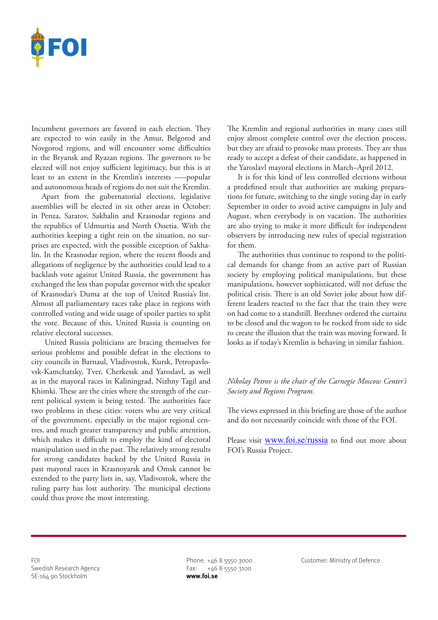

Incumbent governors are favored in each election. They are expected to win easily in the Amur, Belgorod and Novgorod regions, and will encounter some difficulties in the Bryansk and Ryazan regions. The governors to be elected will not enjoy sufficient legitimacy, but this is at least to an extent in the Kremlin's interests –—popular and autonomous heads of regions do not suit the Kremlin.

Apart from the gubernatorial elections, legislative assemblies will be elected in six other areas in October: in Penza, Saratov, Sakhalin and Krasnodar regions and the republics of Udmurtia and North Ossetia. With the authorities keeping a tight rein on the situation, no surprises are expected, with the possible exception of Sakhalin. In the Krasnodar region, where the recent floods and allegations of negligence by the authorities could lead to a backlash vote against United Russia, the government has exchanged the less than popular governor with the speaker of Krasnodar's Duma at the top of United Russia's list. Almost all parliamentary races take place in regions with controlled voting and wide usage of spoiler parties to split the vote. Because of this, United Russia is counting on relative electoral successes.

 United Russia politicians are bracing themselves for serious problems and possible defeat in the elections to city councils in Barnaul, Vladivostok, Kursk, Petropavlovsk-Kamchatsky, Tver, Cherkessk and Yaroslavl, as well as in the mayoral races in Kaliningrad, Nizhny Tagil and Khimki. These are the cities where the strength of the current political system is being tested. The authorities face two problems in these cities: voters who are very critical of the government, especially in the major regional centres, and much greater transparency and public attention, which makes it difficult to employ the kind of electoral manipulation used in the past. The relatively strong results for strong candidates backed by the United Russia in past mayoral races in Krasnoyarsk and Omsk cannot be extended to the party lists in, say, Vladivostok, where the ruling party has lost authority. The municipal elections could thus prove the most interesting.

The Kremlin and regional authorities in many cases still enjoy almost complete control over the election process, but they are afraid to provoke mass protests. They are thus ready to accept a defeat of their candidate, as happened in the Yaroslavl mayoral elections in March–April 2012.

It is for this kind of less controlled elections without a predefined result that authorities are making preparations for future, switching to the single voting day in early September in order to avoid active campaigns in July and August, when everybody is on vacation. The authorities are also trying to make it more difficult for independent observers by introducing new rules of special registration for them.

The authorities thus continue to respond to the political demands for change from an active part of Russian society by employing political manipulations, but these manipulations, however sophisticated, will not defuse the political crisis. There is an old Soviet joke about how different leaders reacted to the fact that the train they were on had come to a standstill. Brezhnev ordered the curtains to be closed and the wagon to be rocked from side to side to create the illusion that the train was moving forward. It looks as if today's Kremlin is behaving in similar fashion.

## *Nikolay Petrov is the chair of the Carnegie Moscow Center's Society and Regions Program.*

The views expressed in this briefing are those of the author and do not necessarily coincide with those of the FOI.

Please visit www.foi.se/russia to find out more about FOI's Russia Project.

Swedish Research Agency Fax: +46 8 5550 3100 SE-164 90 Stockholm **www.foi.se**

FOI Phone: +46 8 5550 3000 Customer: Ministry of Defence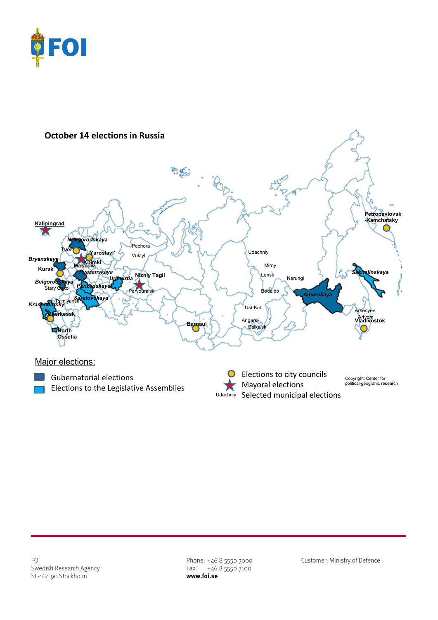



FOI Phone: +46 8 5550 3000 Customer: Ministry of Defence